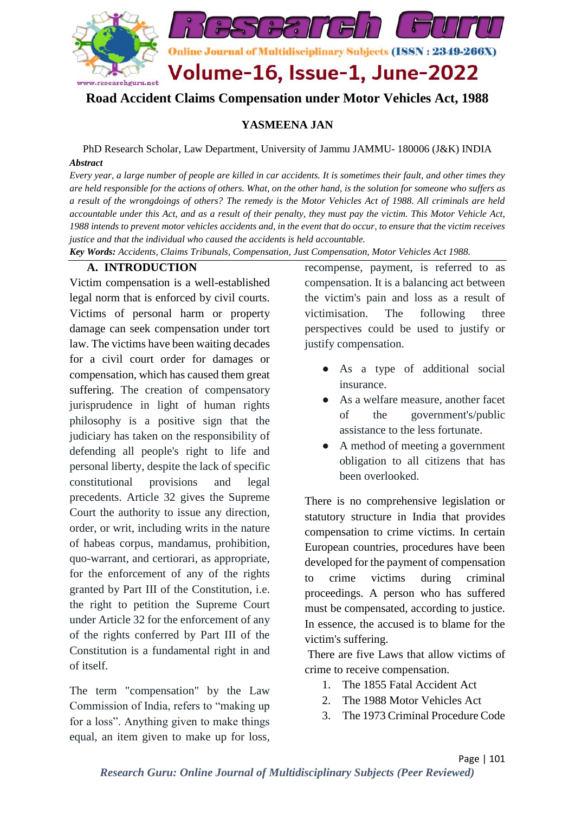

## **Road Accident Claims Compensation under Motor Vehicles Act, 1988**

#### **YASMEENA JAN**

PhD Research Scholar, Law Department, University of Jammu JAMMU- 180006 (J&K) INDIA *Abstract*

*Every year, a large number of people are killed in car accidents. It is sometimes their fault, and other times they are held responsible for the actions of others. What, on the other hand, is the solution for someone who suffers as a result of the wrongdoings of others? The remedy is the Motor Vehicles Act of 1988. All criminals are held accountable under this Act, and as a result of their penalty, they must pay the victim. This Motor Vehicle Act, 1988 intends to prevent motor vehicles accidents and, in the event that do occur, to ensure that the victim receives justice and that the individual who caused the accidents is held accountable.*

*Key Words: Accidents, Claims Tribunals, Compensation, Just Compensation, Motor Vehicles Act 1988.*

#### **A. INTRODUCTION**

Victim compensation is a well-established legal norm that is enforced by civil courts. Victims of personal harm or property damage can seek compensation under tort law. The victims have been waiting decades for a civil court order for damages or compensation, which has caused them great suffering. The creation of compensatory jurisprudence in light of human rights philosophy is a positive sign that the judiciary has taken on the responsibility of defending all people's right to life and personal liberty, despite the lack of specific constitutional provisions and legal precedents. Article 32 gives the Supreme Court the authority to issue any direction, order, or writ, including writs in the nature of habeas corpus, mandamus, prohibition, quo-warrant, and certiorari, as appropriate, for the enforcement of any of the rights granted by Part III of the Constitution, i.e. the right to petition the Supreme Court under Article 32 for the enforcement of any of the rights conferred by Part III of the Constitution is a fundamental right in and of itself.

The term "compensation" by the Law Commission of India, refers to "making up for a loss". Anything given to make things equal, an item given to make up for loss,

recompense, payment, is referred to as compensation. It is a balancing act between the victim's pain and loss as a result of victimisation. The following three perspectives could be used to justify or justify compensation.

- As a type of additional social insurance.
- As a welfare measure, another facet of the government's/public assistance to the less fortunate.
- A method of meeting a government obligation to all citizens that has been overlooked.

There is no comprehensive legislation or statutory structure in India that provides compensation to crime victims. In certain European countries, procedures have been developed for the payment of compensation to crime victims during criminal proceedings. A person who has suffered must be compensated, according to justice. In essence, the accused is to blame for the victim's suffering.

There are five Laws that allow victims of crime to receive compensation.

- 1. The 1855 Fatal Accident Act
- 2. The 1988 Motor Vehicles Act
- 3. The 1973 Criminal Procedure Code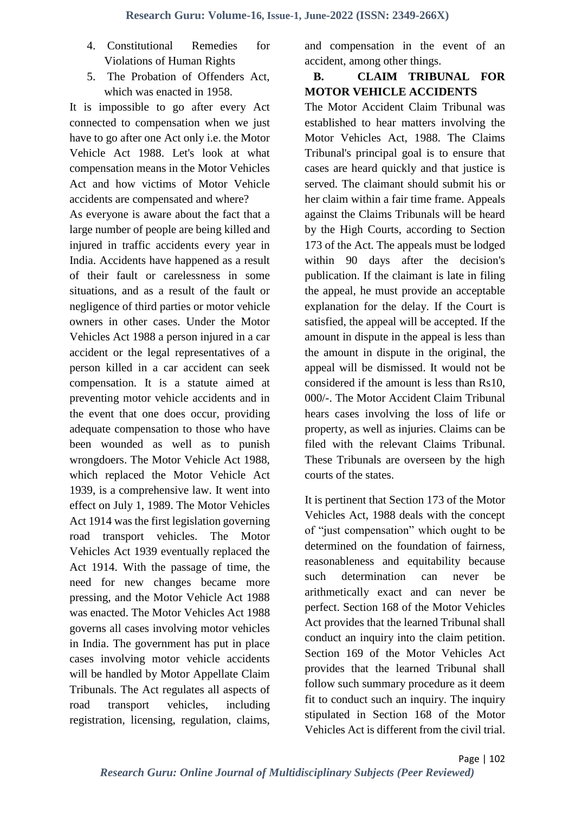- 4. Constitutional Remedies for Violations of Human Rights
- 5. The Probation of Offenders Act, which was enacted in 1958.

It is impossible to go after every Act connected to compensation when we just have to go after one Act only i.e. the Motor Vehicle Act 1988. Let's look at what compensation means in the Motor Vehicles Act and how victims of Motor Vehicle accidents are compensated and where?

As everyone is aware about the fact that a large number of people are being killed and injured in traffic accidents every year in India. Accidents have happened as a result of their fault or carelessness in some situations, and as a result of the fault or negligence of third parties or motor vehicle owners in other cases. Under the Motor Vehicles Act 1988 a person injured in a car accident or the legal representatives of a person killed in a car accident can seek compensation. It is a statute aimed at preventing motor vehicle accidents and in the event that one does occur, providing adequate compensation to those who have been wounded as well as to punish wrongdoers. The Motor Vehicle Act 1988, which replaced the Motor Vehicle Act 1939, is a comprehensive law. It went into effect on July 1, 1989. The Motor Vehicles Act 1914 was the first legislation governing road transport vehicles. The Motor Vehicles Act 1939 eventually replaced the Act 1914. With the passage of time, the need for new changes became more pressing, and the Motor Vehicle Act 1988 was enacted. The Motor Vehicles Act 1988 governs all cases involving motor vehicles in India. The government has put in place cases involving motor vehicle accidents will be handled by Motor Appellate Claim Tribunals. The Act regulates all aspects of road transport vehicles, including registration, licensing, regulation, claims, and compensation in the event of an accident, among other things.

### **B. CLAIM TRIBUNAL FOR MOTOR VEHICLE ACCIDENTS**

The Motor Accident Claim Tribunal was established to hear matters involving the Motor Vehicles Act, 1988. The Claims Tribunal's principal goal is to ensure that cases are heard quickly and that justice is served. The claimant should submit his or her claim within a fair time frame. Appeals against the Claims Tribunals will be heard by the High Courts, according to Section 173 of the Act. The appeals must be lodged within 90 days after the decision's publication. If the claimant is late in filing the appeal, he must provide an acceptable explanation for the delay. If the Court is satisfied, the appeal will be accepted. If the amount in dispute in the appeal is less than the amount in dispute in the original, the appeal will be dismissed. It would not be considered if the amount is less than Rs10, 000/-. The Motor Accident Claim Tribunal hears cases involving the loss of life or property, as well as injuries. Claims can be filed with the relevant Claims Tribunal. These Tribunals are overseen by the high courts of the states.

It is pertinent that Section 173 of the Motor Vehicles Act, 1988 deals with the concept of "just compensation" which ought to be determined on the foundation of fairness, reasonableness and equitability because such determination can never be arithmetically exact and can never be perfect. Section 168 of the Motor Vehicles Act provides that the learned Tribunal shall conduct an inquiry into the claim petition. Section 169 of the Motor Vehicles Act provides that the learned Tribunal shall follow such summary procedure as it deem fit to conduct such an inquiry. The inquiry stipulated in Section 168 of the Motor Vehicles Act is different from the civil trial.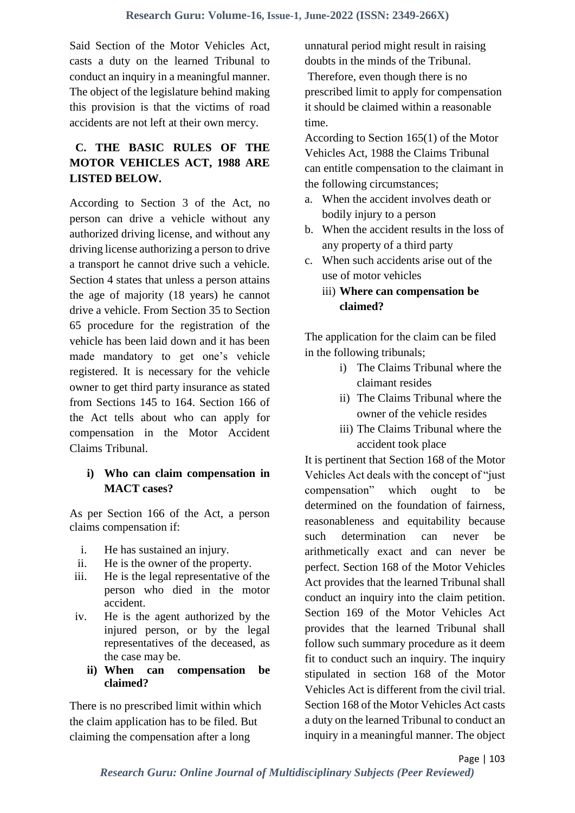Said Section of the Motor Vehicles Act, casts a duty on the learned Tribunal to conduct an inquiry in a meaningful manner. The object of the legislature behind making this provision is that the victims of road accidents are not left at their own mercy.

# **C. THE BASIC RULES OF THE MOTOR VEHICLES ACT, 1988 ARE LISTED BELOW.**

According to Section 3 of the Act, no person can drive a vehicle without any authorized driving license, and without any driving license authorizing a person to drive a transport he cannot drive such a vehicle. Section 4 states that unless a person attains the age of majority (18 years) he cannot drive a vehicle. From Section 35 to Section 65 procedure for the registration of the vehicle has been laid down and it has been made mandatory to get one's vehicle registered. It is necessary for the vehicle owner to get third party insurance as stated from Sections 145 to 164. Section 166 of the Act tells about who can apply for compensation in the Motor Accident Claims Tribunal.

## **i) Who can claim compensation in MACT cases?**

As per Section 166 of the Act, a person claims compensation if:

- i. He has sustained an injury.
- ii. He is the owner of the property.
- iii. He is the legal representative of the person who died in the motor accident.
- iv. He is the agent authorized by the injured person, or by the legal representatives of the deceased, as the case may be.
	- **ii) When can compensation be claimed?**

There is no prescribed limit within which the claim application has to be filed. But claiming the compensation after a long

unnatural period might result in raising doubts in the minds of the Tribunal. Therefore, even though there is no prescribed limit to apply for compensation it should be claimed within a reasonable time.

According to Section 165(1) of the Motor Vehicles Act, 1988 the Claims Tribunal can entitle compensation to the claimant in the following circumstances;

- a. When the accident involves death or bodily injury to a person
- b. When the accident results in the loss of any property of a third party
- c. When such accidents arise out of the use of motor vehicles
	- iii) **Where can compensation be claimed?**

The application for the claim can be filed in the following tribunals;

- i) The Claims Tribunal where the claimant resides
- ii) The Claims Tribunal where the owner of the vehicle resides
- iii) The Claims Tribunal where the accident took place

It is pertinent that Section 168 of the Motor Vehicles Act deals with the concept of "just compensation" which ought to be determined on the foundation of fairness, reasonableness and equitability because such determination can never be arithmetically exact and can never be perfect. Section 168 of the Motor Vehicles Act provides that the learned Tribunal shall conduct an inquiry into the claim petition. Section 169 of the Motor Vehicles Act provides that the learned Tribunal shall follow such summary procedure as it deem fit to conduct such an inquiry. The inquiry stipulated in section 168 of the Motor Vehicles Act is different from the civil trial. Section 168 of the Motor Vehicles Act casts a duty on the learned Tribunal to conduct an inquiry in a meaningful manner. The object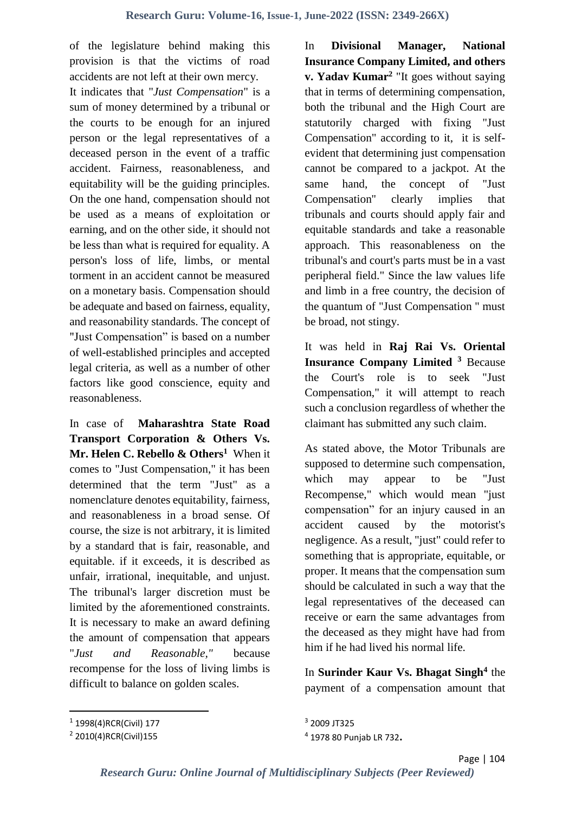of the legislature behind making this provision is that the victims of road accidents are not left at their own mercy. It indicates that "*Just Compensation*" is a sum of money determined by a tribunal or the courts to be enough for an injured person or the legal representatives of a deceased person in the event of a traffic accident. Fairness, reasonableness, and equitability will be the guiding principles. On the one hand, compensation should not be used as a means of exploitation or earning, and on the other side, it should not be less than what is required for equality. A person's loss of life, limbs, or mental torment in an accident cannot be measured on a monetary basis. Compensation should be adequate and based on fairness, equality, and reasonability standards. The concept of "Just Compensation" is based on a number of well-established principles and accepted legal criteria, as well as a number of other factors like good conscience, equity and reasonableness.

In case of **Maharashtra State Road Transport Corporation & Others Vs. Mr. Helen C. Rebello & Others<sup>1</sup>** When it comes to "Just Compensation," it has been determined that the term "Just" as a nomenclature denotes equitability, fairness, and reasonableness in a broad sense. Of course, the size is not arbitrary, it is limited by a standard that is fair, reasonable, and equitable. if it exceeds, it is described as unfair, irrational, inequitable, and unjust. The tribunal's larger discretion must be limited by the aforementioned constraints. It is necessary to make an award defining the amount of compensation that appears "*Just and Reasonable,"* because recompense for the loss of living limbs is difficult to balance on golden scales.

In **Divisional Manager, National Insurance Company Limited, and others v. Yadav Kumar<sup>2</sup>** "It goes without saying that in terms of determining compensation, both the tribunal and the High Court are statutorily charged with fixing "Just Compensation" according to it, it is selfevident that determining just compensation cannot be compared to a jackpot. At the same hand, the concept of "Just Compensation'' clearly implies that tribunals and courts should apply fair and equitable standards and take a reasonable approach. This reasonableness on the tribunal's and court's parts must be in a vast peripheral field." Since the law values life and limb in a free country, the decision of the quantum of "Just Compensation '' must be broad, not stingy.

It was held in **Raj Rai Vs. Oriental Insurance Company Limited <sup>3</sup>** Because the Court's role is to seek "Just Compensation," it will attempt to reach such a conclusion regardless of whether the claimant has submitted any such claim.

As stated above, the Motor Tribunals are supposed to determine such compensation, which may appear to be "Just Recompense," which would mean "just compensation" for an injury caused in an accident caused by the motorist's negligence. As a result, "just" could refer to something that is appropriate, equitable, or proper. It means that the compensation sum should be calculated in such a way that the legal representatives of the deceased can receive or earn the same advantages from the deceased as they might have had from him if he had lived his normal life.

In **Surinder Kaur Vs. Bhagat Singh<sup>4</sup>** the payment of a compensation amount that

<sup>&</sup>lt;sup>1</sup> 1998(4)RCR(Civil) 177

<sup>&</sup>lt;sup>2</sup> 2010(4)RCR(Civil)155

<sup>3</sup> 2009 JT325

<sup>4</sup> 1978 80 Punjab LR 732**.**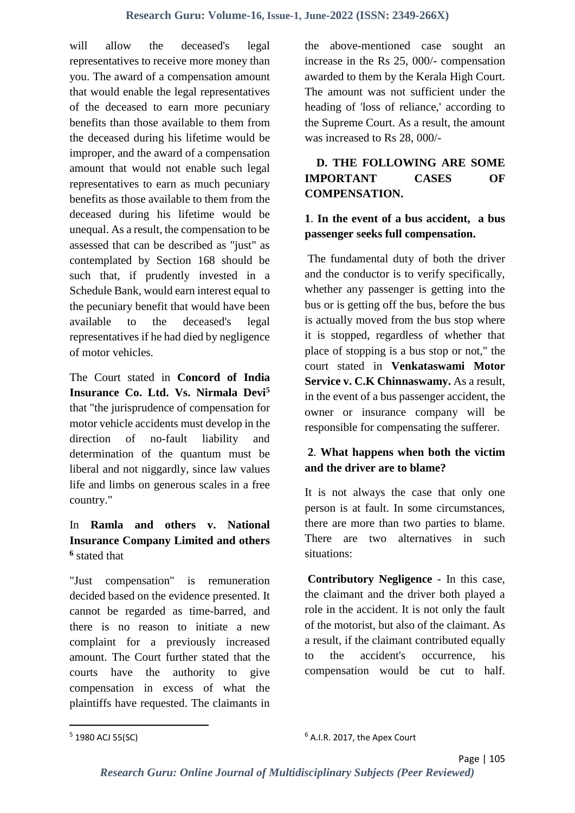will allow the deceased's legal representatives to receive more money than you. The award of a compensation amount that would enable the legal representatives of the deceased to earn more pecuniary benefits than those available to them from the deceased during his lifetime would be improper, and the award of a compensation amount that would not enable such legal representatives to earn as much pecuniary benefits as those available to them from the deceased during his lifetime would be unequal. As a result, the compensation to be assessed that can be described as "just" as contemplated by Section 168 should be such that, if prudently invested in a Schedule Bank, would earn interest equal to the pecuniary benefit that would have been available to the deceased's legal representatives if he had died by negligence of motor vehicles.

The Court stated in **Concord of India Insurance Co. Ltd. Vs. Nirmala Devi<sup>5</sup>** that "the jurisprudence of compensation for motor vehicle accidents must develop in the direction of no-fault liability and determination of the quantum must be liberal and not niggardly, since law values life and limbs on generous scales in a free country."

# In **Ramla and others v. National Insurance Company Limited and others 6** stated that

"Just compensation" is remuneration decided based on the evidence presented. It cannot be regarded as time-barred, and there is no reason to initiate a new complaint for a previously increased amount. The Court further stated that the courts have the authority to give compensation in excess of what the plaintiffs have requested. The claimants in

the above-mentioned case sought an increase in the Rs 25, 000/- compensation awarded to them by the Kerala High Court. The amount was not sufficient under the heading of 'loss of reliance,' according to the Supreme Court. As a result, the amount was increased to Rs 28, 000/-

## **D. THE FOLLOWING ARE SOME IMPORTANT CASES OF COMPENSATION.**

### **1**. **In the event of a bus accident, a bus passenger seeks full compensation.**

The fundamental duty of both the driver and the conductor is to verify specifically, whether any passenger is getting into the bus or is getting off the bus, before the bus is actually moved from the bus stop where it is stopped, regardless of whether that place of stopping is a bus stop or not," the court stated in **Venkataswami Motor Service v. C.K Chinnaswamy.** As a result, in the event of a bus passenger accident, the owner or insurance company will be responsible for compensating the sufferer.

# **2**. **What happens when both the victim and the driver are to blame?**

It is not always the case that only one person is at fault. In some circumstances, there are more than two parties to blame. There are two alternatives in such situations:

**Contributory Negligence** - In this case, the claimant and the driver both played a role in the accident. It is not only the fault of the motorist, but also of the claimant. As a result, if the claimant contributed equally to the accident's occurrence, his compensation would be cut to half.

<sup>&</sup>lt;sup>5</sup> 1980 ACJ 55(SC)

<sup>6</sup> A.I.R. 2017, the Apex Court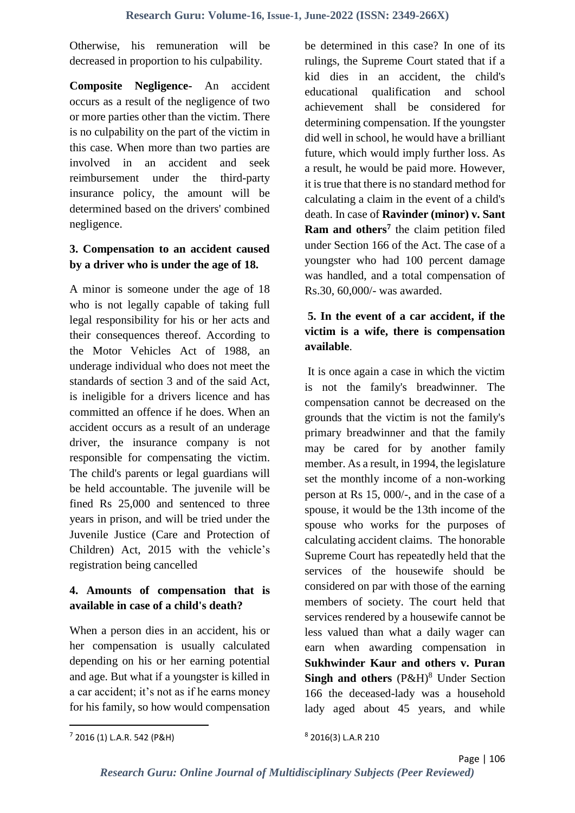Otherwise, his remuneration will be decreased in proportion to his culpability.

**Composite Negligence-** An accident occurs as a result of the negligence of two or more parties other than the victim. There is no culpability on the part of the victim in this case. When more than two parties are involved in an accident and seek reimbursement under the third-party insurance policy, the amount will be determined based on the drivers' combined negligence.

#### **3. Compensation to an accident caused by a driver who is under the age of 18.**

A minor is someone under the age of 18 who is not legally capable of taking full legal responsibility for his or her acts and their consequences thereof. According to the Motor Vehicles Act of 1988, an underage individual who does not meet the standards of section 3 and of the said Act, is ineligible for a drivers licence and has committed an offence if he does. When an accident occurs as a result of an underage driver, the insurance company is not responsible for compensating the victim. The child's parents or legal guardians will be held accountable. The juvenile will be fined Rs 25,000 and sentenced to three years in prison, and will be tried under the Juvenile Justice (Care and Protection of Children) Act, 2015 with the vehicle's registration being cancelled

## **4. Amounts of compensation that is available in case of a child's death?**

When a person dies in an accident, his or her compensation is usually calculated depending on his or her earning potential and age. But what if a youngster is killed in a car accident; it's not as if he earns money for his family, so how would compensation be determined in this case? In one of its rulings, the Supreme Court stated that if a kid dies in an accident, the child's educational qualification and school achievement shall be considered for determining compensation. If the youngster did well in school, he would have a brilliant future, which would imply further loss. As a result, he would be paid more. However, it is true that there is no standard method for calculating a claim in the event of a child's death. In case of **Ravinder (minor) v. Sant Ram and others<sup>7</sup>** the claim petition filed under Section 166 of the Act. The case of a youngster who had 100 percent damage was handled, and a total compensation of Rs.30, 60,000/- was awarded.

## **5. In the event of a car accident, if the victim is a wife, there is compensation available**.

It is once again a case in which the victim is not the family's breadwinner. The compensation cannot be decreased on the grounds that the victim is not the family's primary breadwinner and that the family may be cared for by another family member. As a result, in 1994, the legislature set the monthly income of a non-working person at Rs 15, 000/-, and in the case of a spouse, it would be the 13th income of the spouse who works for the purposes of calculating accident claims. The honorable Supreme Court has repeatedly held that the services of the housewife should be considered on par with those of the earning members of society. The court held that services rendered by a housewife cannot be less valued than what a daily wager can earn when awarding compensation in **Sukhwinder Kaur and others v. Puran Singh and others**  $(P\&H)^8$  Under Section 166 the deceased-lady was a household lady aged about 45 years, and while

 $\overline{a}$ 

8 2016(3) L.A.R 210

<sup>7</sup> 2016 (1) L.A.R. 542 (P&H)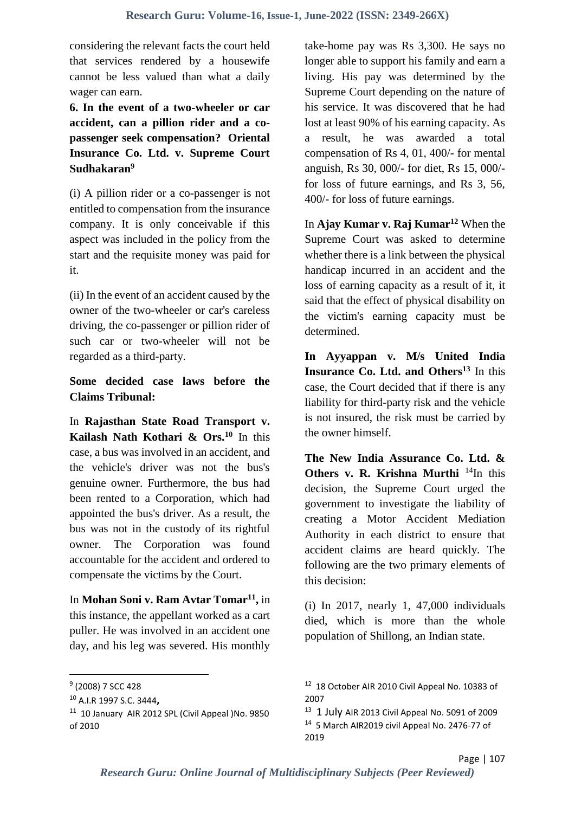considering the relevant facts the court held that services rendered by a housewife cannot be less valued than what a daily wager can earn.

**6. In the event of a two-wheeler or car accident, can a pillion rider and a copassenger seek compensation? Oriental Insurance Co. Ltd. v. Supreme Court Sudhakaran<sup>9</sup>**

(i) A pillion rider or a co-passenger is not entitled to compensation from the insurance company. It is only conceivable if this aspect was included in the policy from the start and the requisite money was paid for it.

(ii) In the event of an accident caused by the owner of the two-wheeler or car's careless driving, the co-passenger or pillion rider of such car or two-wheeler will not be regarded as a third-party.

### **Some decided case laws before the Claims Tribunal:**

In **Rajasthan State Road Transport v. Kailash Nath Kothari & Ors.<sup>10</sup>** In this case, a bus was involved in an accident, and the vehicle's driver was not the bus's genuine owner. Furthermore, the bus had been rented to a Corporation, which had appointed the bus's driver. As a result, the bus was not in the custody of its rightful owner. The Corporation was found accountable for the accident and ordered to compensate the victims by the Court.

In **Mohan Soni v. Ram Avtar Tomar<sup>11</sup> ,** in this instance, the appellant worked as a cart puller. He was involved in an accident one day, and his leg was severed. His monthly

**.** 

take-home pay was Rs 3,300. He says no longer able to support his family and earn a living. His pay was determined by the Supreme Court depending on the nature of his service. It was discovered that he had lost at least 90% of his earning capacity. As a result, he was awarded a total compensation of Rs 4, 01, 400/- for mental anguish, Rs 30, 000/- for diet, Rs 15, 000/ for loss of future earnings, and Rs 3, 56, 400/- for loss of future earnings.

In **Ajay Kumar v. Raj Kumar<sup>12</sup>** When the Supreme Court was asked to determine whether there is a link between the physical handicap incurred in an accident and the loss of earning capacity as a result of it, it said that the effect of physical disability on the victim's earning capacity must be determined.

**In Ayyappan v. M/s United India Insurance Co. Ltd. and Others<sup>13</sup>** In this case, the Court decided that if there is any liability for third-party risk and the vehicle is not insured, the risk must be carried by the owner himself.

**The New India Assurance Co. Ltd. & Others v. R. Krishna Murthi** <sup>14</sup>In this decision, the Supreme Court urged the government to investigate the liability of creating a Motor Accident Mediation Authority in each district to ensure that accident claims are heard quickly. The following are the two primary elements of this decision:

(i) In 2017, nearly 1, 47,000 individuals died, which is more than the whole population of Shillong, an Indian state.

<sup>&</sup>lt;sup>9</sup> (2008) 7 SCC 428

<sup>10</sup> A.I.R 1997 S.C. 3444**,**

<sup>&</sup>lt;sup>11</sup> 10 January AIR 2012 SPL (Civil Appeal )No. 9850 of 2010

<sup>&</sup>lt;sup>12</sup> 18 October AIR 2010 Civil Appeal No. 10383 of 2007

<sup>&</sup>lt;sup>13</sup> 1 July AIR 2013 Civil Appeal No. 5091 of 2009 <sup>14</sup> 5 March AIR2019 civil Appeal No. 2476-77 of 2019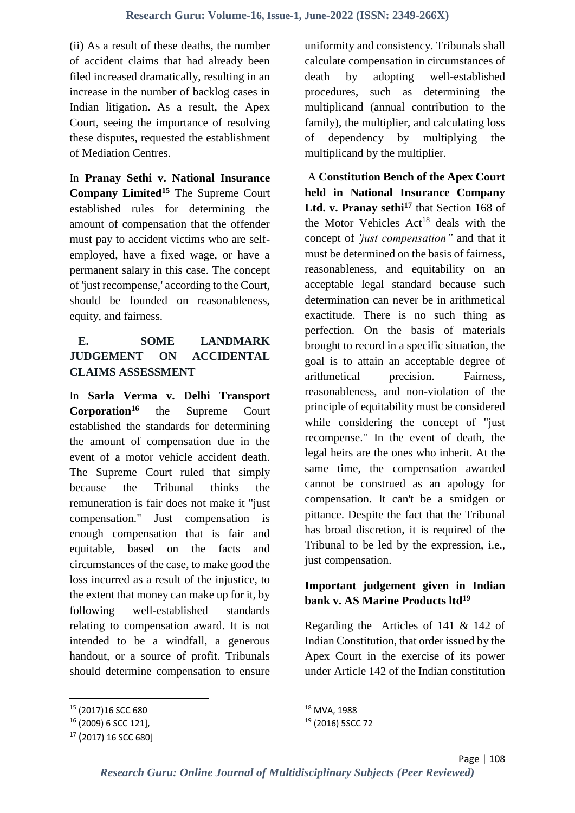(ii) As a result of these deaths, the number of accident claims that had already been filed increased dramatically, resulting in an increase in the number of backlog cases in Indian litigation. As a result, the Apex Court, seeing the importance of resolving these disputes, requested the establishment of Mediation Centres.

In **Pranay Sethi v. National Insurance Company Limited<sup>15</sup>** The Supreme Court established rules for determining the amount of compensation that the offender must pay to accident victims who are selfemployed, have a fixed wage, or have a permanent salary in this case. The concept of 'just recompense,' according to the Court, should be founded on reasonableness, equity, and fairness.

# **E. SOME LANDMARK JUDGEMENT ON ACCIDENTAL CLAIMS ASSESSMENT**

In **Sarla Verma v. Delhi Transport Corporation<sup>16</sup>** the Supreme Court established the standards for determining the amount of compensation due in the event of a motor vehicle accident death. The Supreme Court ruled that simply because the Tribunal thinks the remuneration is fair does not make it "just compensation." Just compensation is enough compensation that is fair and equitable, based on the facts and circumstances of the case, to make good the loss incurred as a result of the injustice, to the extent that money can make up for it, by following well-established standards relating to compensation award. It is not intended to be a windfall, a generous handout, or a source of profit. Tribunals should determine compensation to ensure

**.** 

uniformity and consistency. Tribunals shall calculate compensation in circumstances of death by adopting well-established procedures, such as determining the multiplicand (annual contribution to the family), the multiplier, and calculating loss of dependency by multiplying the multiplicand by the multiplier.

A **Constitution Bench of the Apex Court held in National Insurance Company Ltd. v. Pranay sethi<sup>17</sup>** that Section 168 of the Motor Vehicles  $Act^{18}$  deals with the concept of *'just compensation"* and that it must be determined on the basis of fairness, reasonableness, and equitability on an acceptable legal standard because such determination can never be in arithmetical exactitude. There is no such thing as perfection. On the basis of materials brought to record in a specific situation, the goal is to attain an acceptable degree of arithmetical precision. Fairness, reasonableness, and non-violation of the principle of equitability must be considered while considering the concept of "just recompense." In the event of death, the legal heirs are the ones who inherit. At the same time, the compensation awarded cannot be construed as an apology for compensation. It can't be a smidgen or pittance. Despite the fact that the Tribunal has broad discretion, it is required of the Tribunal to be led by the expression, i.e., just compensation.

### **Important judgement given in Indian bank v. AS Marine Products ltd<sup>19</sup>**

Regarding the Articles of 141 & 142 of Indian Constitution, that order issued by the Apex Court in the exercise of its power under Article 142 of the Indian constitution

<sup>15</sup> (2017)16 SCC 680

<sup>16</sup> (2009) 6 SCC 121],

<sup>17</sup> (2017) 16 SCC 680]

<sup>18</sup> MVA, 1988 <sup>19</sup> (2016) 5SCC 72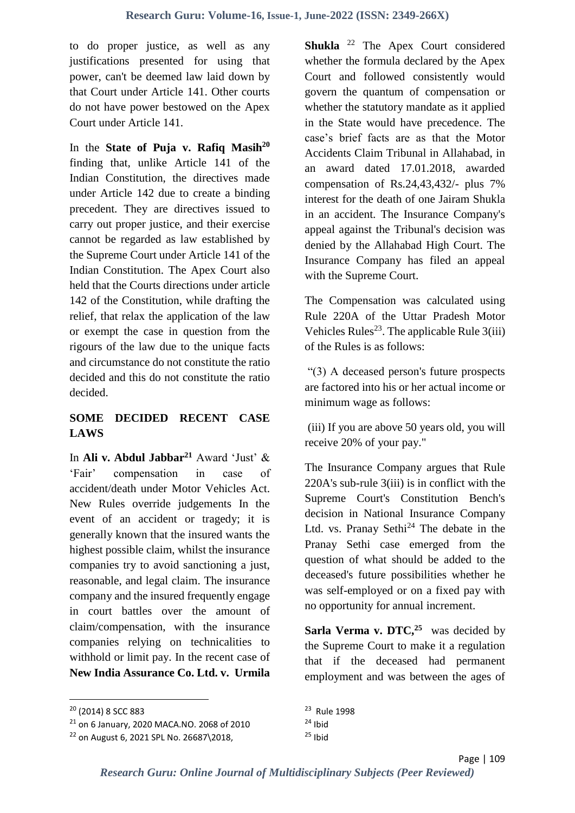to do proper justice, as well as any justifications presented for using that power, can't be deemed law laid down by that Court under Article 141. Other courts do not have power bestowed on the Apex Court under Article 141.

In the **State of Puja v. Rafiq Masih<sup>20</sup>** finding that, unlike Article 141 of the Indian Constitution, the directives made under Article 142 due to create a binding precedent. They are directives issued to carry out proper justice, and their exercise cannot be regarded as law established by the Supreme Court under Article 141 of the Indian Constitution. The Apex Court also held that the Courts directions under article 142 of the Constitution, while drafting the relief, that relax the application of the law or exempt the case in question from the rigours of the law due to the unique facts and circumstance do not constitute the ratio decided and this do not constitute the ratio decided.

## **SOME DECIDED RECENT CASE LAWS**

In **Ali v. Abdul Jabbar<sup>21</sup>** Award 'Just' & 'Fair' compensation in case of accident/death under Motor Vehicles Act. New Rules override judgements In the event of an accident or tragedy; it is generally known that the insured wants the highest possible claim, whilst the insurance companies try to avoid sanctioning a just, reasonable, and legal claim. The insurance company and the insured frequently engage in court battles over the amount of claim/compensation, with the insurance companies relying on technicalities to withhold or limit pay. In the recent case of **New India Assurance Co. Ltd. v. Urmila** 

**.** 

**Shukla** <sup>22</sup> The Apex Court considered whether the formula declared by the Apex Court and followed consistently would govern the quantum of compensation or whether the statutory mandate as it applied in the State would have precedence. The case's brief facts are as that the Motor Accidents Claim Tribunal in Allahabad, in an award dated 17.01.2018, awarded compensation of Rs.24,43,432/- plus 7% interest for the death of one Jairam Shukla in an accident. The Insurance Company's appeal against the Tribunal's decision was denied by the Allahabad High Court. The Insurance Company has filed an appeal with the Supreme Court.

The Compensation was calculated using Rule 220A of the Uttar Pradesh Motor Vehicles Rules<sup>23</sup>. The applicable Rule  $3(iii)$ of the Rules is as follows:

"(3) A deceased person's future prospects are factored into his or her actual income or minimum wage as follows:

(iii) If you are above 50 years old, you will receive 20% of your pay."

The Insurance Company argues that Rule 220A's sub-rule 3(iii) is in conflict with the Supreme Court's Constitution Bench's decision in National Insurance Company Ltd. vs. Pranay Sethi<sup>24</sup> The debate in the Pranay Sethi case emerged from the question of what should be added to the deceased's future possibilities whether he was self-employed or on a fixed pay with no opportunity for annual increment.

Sarla Verma v. DTC,<sup>25</sup> was decided by the Supreme Court to make it a regulation that if the deceased had permanent employment and was between the ages of

<sup>20</sup> (2014) 8 SCC 883

<sup>21</sup> on 6 January, 2020 MACA.NO. 2068 of 2010

<sup>22</sup> on August 6, 2021 SPL No. 26687\2018,

<sup>&</sup>lt;sup>23</sup> Rule 1998  $24$  Ibid  $25$  Ibid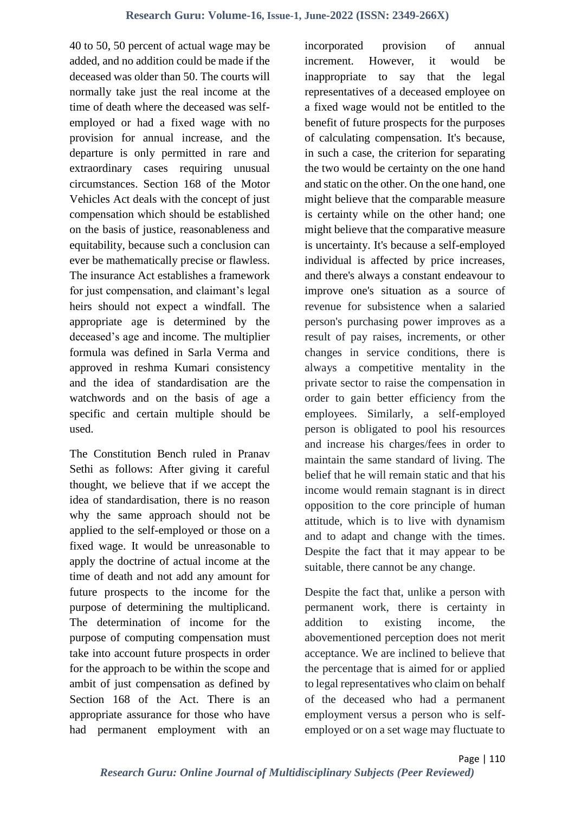40 to 50, 50 percent of actual wage may be added, and no addition could be made if the deceased was older than 50. The courts will normally take just the real income at the time of death where the deceased was selfemployed or had a fixed wage with no provision for annual increase, and the departure is only permitted in rare and extraordinary cases requiring unusual circumstances. Section 168 of the Motor Vehicles Act deals with the concept of just compensation which should be established on the basis of justice, reasonableness and equitability, because such a conclusion can ever be mathematically precise or flawless. The insurance Act establishes a framework for just compensation, and claimant's legal heirs should not expect a windfall. The appropriate age is determined by the deceased's age and income. The multiplier formula was defined in Sarla Verma and approved in reshma Kumari consistency and the idea of standardisation are the watchwords and on the basis of age a specific and certain multiple should be used.

The Constitution Bench ruled in Pranav Sethi as follows: After giving it careful thought, we believe that if we accept the idea of standardisation, there is no reason why the same approach should not be applied to the self-employed or those on a fixed wage. It would be unreasonable to apply the doctrine of actual income at the time of death and not add any amount for future prospects to the income for the purpose of determining the multiplicand. The determination of income for the purpose of computing compensation must take into account future prospects in order for the approach to be within the scope and ambit of just compensation as defined by Section 168 of the Act. There is an appropriate assurance for those who have had permanent employment with an

incorporated provision of annual increment. However, it would be inappropriate to say that the legal representatives of a deceased employee on a fixed wage would not be entitled to the benefit of future prospects for the purposes of calculating compensation. It's because, in such a case, the criterion for separating the two would be certainty on the one hand and static on the other. On the one hand, one might believe that the comparable measure is certainty while on the other hand; one might believe that the comparative measure is uncertainty. It's because a self-employed individual is affected by price increases, and there's always a constant endeavour to improve one's situation as a source of revenue for subsistence when a salaried person's purchasing power improves as a result of pay raises, increments, or other changes in service conditions, there is always a competitive mentality in the private sector to raise the compensation in order to gain better efficiency from the employees. Similarly, a self-employed person is obligated to pool his resources and increase his charges/fees in order to maintain the same standard of living. The belief that he will remain static and that his income would remain stagnant is in direct opposition to the core principle of human attitude, which is to live with dynamism and to adapt and change with the times. Despite the fact that it may appear to be suitable, there cannot be any change.

Despite the fact that, unlike a person with permanent work, there is certainty in addition to existing income, the abovementioned perception does not merit acceptance. We are inclined to believe that the percentage that is aimed for or applied to legal representatives who claim on behalf of the deceased who had a permanent employment versus a person who is selfemployed or on a set wage may fluctuate to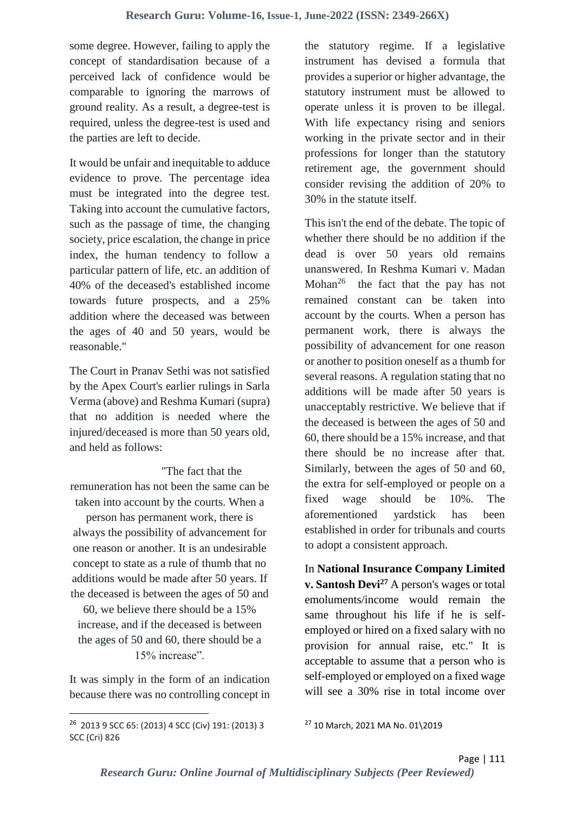some degree. However, failing to apply the concept of standardisation because of a perceived lack of confidence would be comparable to ignoring the marrows of ground reality. As a result, a degree-test is required, unless the degree-test is used and the parties are left to decide.

It would be unfair and inequitable to adduce evidence to prove. The percentage idea must be integrated into the degree test. Taking into account the cumulative factors, such as the passage of time, the changing society, price escalation, the change in price index, the human tendency to follow a particular pattern of life, etc. an addition of 40% of the deceased's established income towards future prospects, and a 25% addition where the deceased was between the ages of 40 and 50 years, would be reasonable."

The Court in Pranav Sethi was not satisfied by the Apex Court's earlier rulings in Sarla Verma (above) and Reshma Kumari (supra) that no addition is needed where the injured/deceased is more than 50 years old, and held as follows:

"The fact that the

remuneration has not been the same can be taken into account by the courts. When a

person has permanent work, there is always the possibility of advancement for one reason or another. It is an undesirable concept to state as a rule of thumb that no additions would be made after 50 years. If the deceased is between the ages of 50 and

60, we believe there should be a 15% increase, and if the deceased is between the ages of 50 and 60, there should be a 15% increase".

It was simply in the form of an indication because there was no controlling concept in the statutory regime. If a legislative instrument has devised a formula that provides a superior or higher advantage, the statutory instrument must be allowed to operate unless it is proven to be illegal. With life expectancy rising and seniors working in the private sector and in their professions for longer than the statutory retirement age, the government should consider revising the addition of 20% to 30% in the statute itself.

This isn't the end of the debate. The topic of whether there should be no addition if the dead is over 50 years old remains unanswered. In Reshma Kumari v. Madan Mohan $26$  the fact that the pay has not remained constant can be taken into account by the courts. When a person has permanent work, there is always the possibility of advancement for one reason or another to position oneself as a thumb for several reasons. A regulation stating that no additions will be made after 50 years is unacceptably restrictive. We believe that if the deceased is between the ages of 50 and 60, there should be a 15% increase, and that there should be no increase after that. Similarly, between the ages of 50 and 60, the extra for self-employed or people on a fixed wage should be 10%. The aforementioned yardstick has been established in order for tribunals and courts to adopt a consistent approach.

In **National Insurance Company Limited v. Santosh Devi<sup>27</sup>** A person's wages or total emoluments/income would remain the same throughout his life if he is selfemployed or hired on a fixed salary with no provision for annual raise, etc." It is acceptable to assume that a person who is self-employed or employed on a fixed wage will see a 30% rise in total income over

**.** 

<sup>26</sup> 2013 9 SCC 65: (2013) 4 SCC (Civ) 191: (2013) 3 SCC (Cri) 826

<sup>27</sup> 10 March, 2021 MA No. 01\2019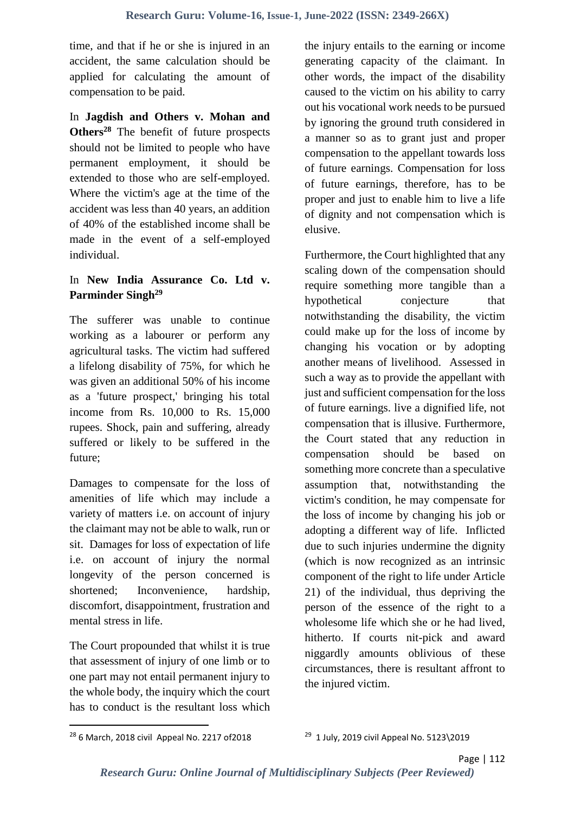time, and that if he or she is injured in an accident, the same calculation should be applied for calculating the amount of compensation to be paid.

In **Jagdish and Others v. Mohan and Others<sup>28</sup>** The benefit of future prospects should not be limited to people who have permanent employment, it should be extended to those who are self-employed. Where the victim's age at the time of the accident was less than 40 years, an addition of 40% of the established income shall be made in the event of a self-employed individual.

#### In **New India Assurance Co. Ltd v. Parminder Singh<sup>29</sup>**

The sufferer was unable to continue working as a labourer or perform any agricultural tasks. The victim had suffered a lifelong disability of 75%, for which he was given an additional 50% of his income as a 'future prospect,' bringing his total income from Rs. 10,000 to Rs. 15,000 rupees. Shock, pain and suffering, already suffered or likely to be suffered in the future;

Damages to compensate for the loss of amenities of life which may include a variety of matters i.e. on account of injury the claimant may not be able to walk, run or sit. Damages for loss of expectation of life i.e. on account of injury the normal longevity of the person concerned is shortened: Inconvenience, hardship, discomfort, disappointment, frustration and mental stress in life.

The Court propounded that whilst it is true that assessment of injury of one limb or to one part may not entail permanent injury to the whole body, the inquiry which the court has to conduct is the resultant loss which the injury entails to the earning or income generating capacity of the claimant. In other words, the impact of the disability caused to the victim on his ability to carry out his vocational work needs to be pursued by ignoring the ground truth considered in a manner so as to grant just and proper compensation to the appellant towards loss of future earnings. Compensation for loss of future earnings, therefore, has to be proper and just to enable him to live a life of dignity and not compensation which is elusive.

Furthermore, the Court highlighted that any scaling down of the compensation should require something more tangible than a hypothetical conjecture that notwithstanding the disability, the victim could make up for the loss of income by changing his vocation or by adopting another means of livelihood. Assessed in such a way as to provide the appellant with just and sufficient compensation for the loss of future earnings. live a dignified life, not compensation that is illusive. Furthermore, the Court stated that any reduction in compensation should be based on something more concrete than a speculative assumption that, notwithstanding the victim's condition, he may compensate for the loss of income by changing his job or adopting a different way of life. Inflicted due to such injuries undermine the dignity (which is now recognized as an intrinsic component of the right to life under Article 21) of the individual, thus depriving the person of the essence of the right to a wholesome life which she or he had lived, hitherto. If courts nit-pick and award niggardly amounts oblivious of these circumstances, there is resultant affront to the injured victim.

<sup>28</sup> 6 March, 2018 civil Appeal No. 2217 of2018

<sup>&</sup>lt;sup>29</sup> 1 July, 2019 civil Appeal No. 5123\2019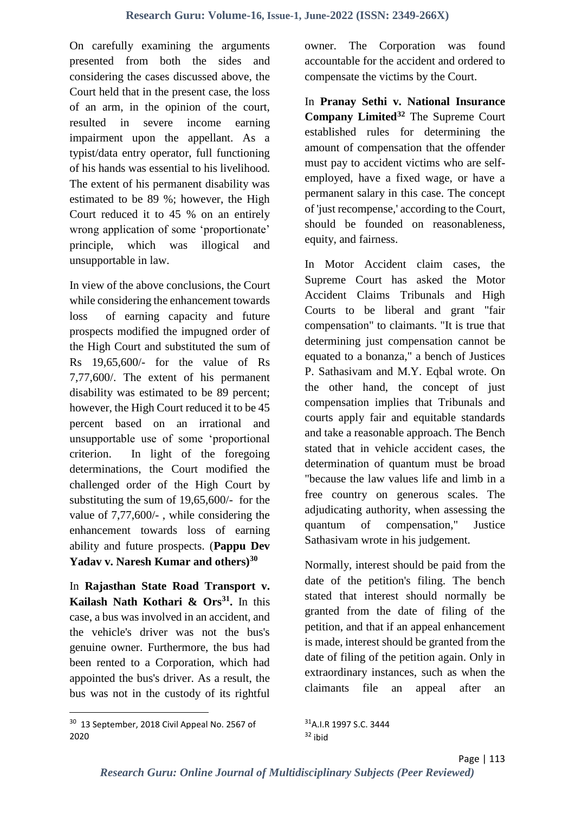On carefully examining the arguments presented from both the sides and considering the cases discussed above, the Court held that in the present case, the loss of an arm, in the opinion of the court, resulted in severe income earning impairment upon the appellant. As a typist/data entry operator, full functioning of his hands was essential to his livelihood. The extent of his permanent disability was estimated to be 89 %; however, the High Court reduced it to 45 % on an entirely wrong application of some 'proportionate' principle, which was illogical and unsupportable in law.

In view of the above conclusions, the Court while considering the enhancement towards loss of earning capacity and future prospects modified the impugned order of the High Court and substituted the sum of Rs 19,65,600/- for the value of Rs 7,77,600/. The extent of his permanent disability was estimated to be 89 percent; however, the High Court reduced it to be 45 percent based on an irrational and unsupportable use of some 'proportional criterion. In light of the foregoing determinations, the Court modified the challenged order of the High Court by substituting the sum of 19,65,600/- for the value of 7,77,600/- , while considering the enhancement towards loss of earning ability and future prospects. (**Pappu Dev Yadav v. Naresh Kumar and others)<sup>30</sup>**

In **Rajasthan State Road Transport v. Kailash Nath Kothari & Ors<sup>31</sup> .** In this case, a bus was involved in an accident, and the vehicle's driver was not the bus's genuine owner. Furthermore, the bus had been rented to a Corporation, which had appointed the bus's driver. As a result, the bus was not in the custody of its rightful owner. The Corporation was found accountable for the accident and ordered to compensate the victims by the Court.

In **Pranay Sethi v. National Insurance Company Limited<sup>32</sup>** The Supreme Court established rules for determining the amount of compensation that the offender must pay to accident victims who are selfemployed, have a fixed wage, or have a permanent salary in this case. The concept of 'just recompense,' according to the Court, should be founded on reasonableness, equity, and fairness.

In Motor Accident claim cases, the Supreme Court has asked the Motor Accident Claims Tribunals and High Courts to be liberal and grant "fair compensation" to claimants. "It is true that determining just compensation cannot be equated to a bonanza," a bench of Justices P. Sathasivam and M.Y. Eqbal wrote. On the other hand, the concept of just compensation implies that Tribunals and courts apply fair and equitable standards and take a reasonable approach. The Bench stated that in vehicle accident cases, the determination of quantum must be broad "because the law values life and limb in a free country on generous scales. The adjudicating authority, when assessing the quantum of compensation," Justice Sathasivam wrote in his judgement.

Normally, interest should be paid from the date of the petition's filing. The bench stated that interest should normally be granted from the date of filing of the petition, and that if an appeal enhancement is made, interest should be granted from the date of filing of the petition again. Only in extraordinary instances, such as when the claimants file an appeal after an

**.** 

<sup>&</sup>lt;sup>30</sup> 13 September, 2018 Civil Appeal No. 2567 of 2020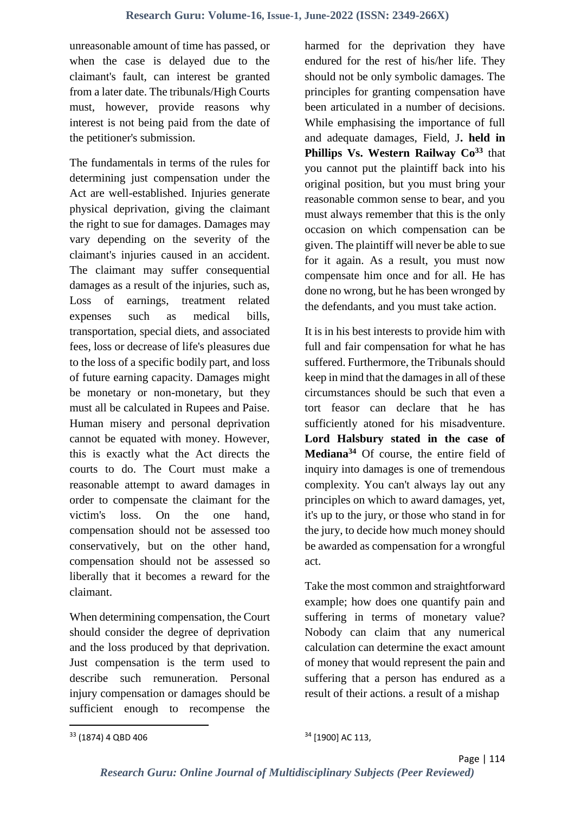unreasonable amount of time has passed, or when the case is delayed due to the claimant's fault, can interest be granted from a later date. The tribunals/High Courts must, however, provide reasons why interest is not being paid from the date of the petitioner's submission.

The fundamentals in terms of the rules for determining just compensation under the Act are well-established. Injuries generate physical deprivation, giving the claimant the right to sue for damages. Damages may vary depending on the severity of the claimant's injuries caused in an accident. The claimant may suffer consequential damages as a result of the injuries, such as, Loss of earnings, treatment related expenses such as medical bills, transportation, special diets, and associated fees, loss or decrease of life's pleasures due to the loss of a specific bodily part, and loss of future earning capacity. Damages might be monetary or non-monetary, but they must all be calculated in Rupees and Paise. Human misery and personal deprivation cannot be equated with money. However, this is exactly what the Act directs the courts to do. The Court must make a reasonable attempt to award damages in order to compensate the claimant for the victim's loss. On the one hand, compensation should not be assessed too conservatively, but on the other hand, compensation should not be assessed so liberally that it becomes a reward for the claimant.

When determining compensation, the Court should consider the degree of deprivation and the loss produced by that deprivation. Just compensation is the term used to describe such remuneration. Personal injury compensation or damages should be sufficient enough to recompense the

harmed for the deprivation they have endured for the rest of his/her life. They should not be only symbolic damages. The principles for granting compensation have been articulated in a number of decisions. While emphasising the importance of full and adequate damages, Field, J**. held in Phillips Vs. Western Railway Co<sup>33</sup>** that you cannot put the plaintiff back into his original position, but you must bring your reasonable common sense to bear, and you must always remember that this is the only occasion on which compensation can be given. The plaintiff will never be able to sue for it again. As a result, you must now compensate him once and for all. He has done no wrong, but he has been wronged by the defendants, and you must take action.

It is in his best interests to provide him with full and fair compensation for what he has suffered. Furthermore, the Tribunals should keep in mind that the damages in all of these circumstances should be such that even a tort feasor can declare that he has sufficiently atoned for his misadventure. **Lord Halsbury stated in the case of Mediana<sup>34</sup>** Of course, the entire field of inquiry into damages is one of tremendous complexity. You can't always lay out any principles on which to award damages, yet, it's up to the jury, or those who stand in for the jury, to decide how much money should be awarded as compensation for a wrongful act.

Take the most common and straightforward example; how does one quantify pain and suffering in terms of monetary value? Nobody can claim that any numerical calculation can determine the exact amount of money that would represent the pain and suffering that a person has endured as a result of their actions. a result of a mishap

<sup>33</sup> (1874) 4 QBD 406

<sup>34</sup> [1900] AC 113,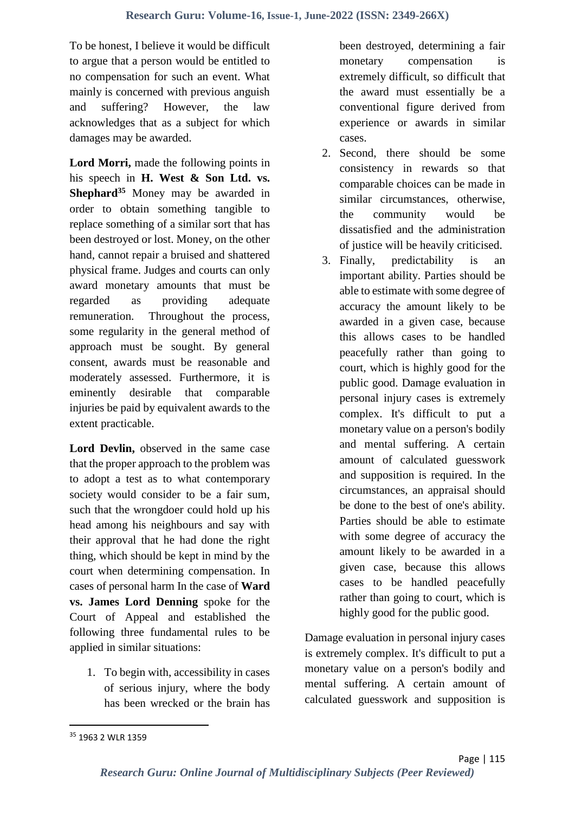To be honest, I believe it would be difficult to argue that a person would be entitled to no compensation for such an event. What mainly is concerned with previous anguish and suffering? However, the law acknowledges that as a subject for which damages may be awarded.

**Lord Morri,** made the following points in his speech in **H. West & Son Ltd. vs. Shephard<sup>35</sup>** Money may be awarded in order to obtain something tangible to replace something of a similar sort that has been destroyed or lost. Money, on the other hand, cannot repair a bruised and shattered physical frame. Judges and courts can only award monetary amounts that must be regarded as providing adequate remuneration. Throughout the process, some regularity in the general method of approach must be sought. By general consent, awards must be reasonable and moderately assessed. Furthermore, it is eminently desirable that comparable injuries be paid by equivalent awards to the extent practicable.

**Lord Devlin,** observed in the same case that the proper approach to the problem was to adopt a test as to what contemporary society would consider to be a fair sum, such that the wrongdoer could hold up his head among his neighbours and say with their approval that he had done the right thing, which should be kept in mind by the court when determining compensation. In cases of personal harm In the case of **Ward vs. James Lord Denning** spoke for the Court of Appeal and established the following three fundamental rules to be applied in similar situations:

1. To begin with, accessibility in cases of serious injury, where the body has been wrecked or the brain has

been destroyed, determining a fair monetary compensation is extremely difficult, so difficult that the award must essentially be a conventional figure derived from experience or awards in similar cases.

- 2. Second, there should be some consistency in rewards so that comparable choices can be made in similar circumstances, otherwise, the community would be dissatisfied and the administration of justice will be heavily criticised.
- 3. Finally, predictability is an important ability. Parties should be able to estimate with some degree of accuracy the amount likely to be awarded in a given case, because this allows cases to be handled peacefully rather than going to court, which is highly good for the public good. Damage evaluation in personal injury cases is extremely complex. It's difficult to put a monetary value on a person's bodily and mental suffering. A certain amount of calculated guesswork and supposition is required. In the circumstances, an appraisal should be done to the best of one's ability. Parties should be able to estimate with some degree of accuracy the amount likely to be awarded in a given case, because this allows cases to be handled peacefully rather than going to court, which is highly good for the public good.

Damage evaluation in personal injury cases is extremely complex. It's difficult to put a monetary value on a person's bodily and mental suffering. A certain amount of calculated guesswork and supposition is

<sup>&</sup>lt;sup>35</sup> 1963 2 WLR 1359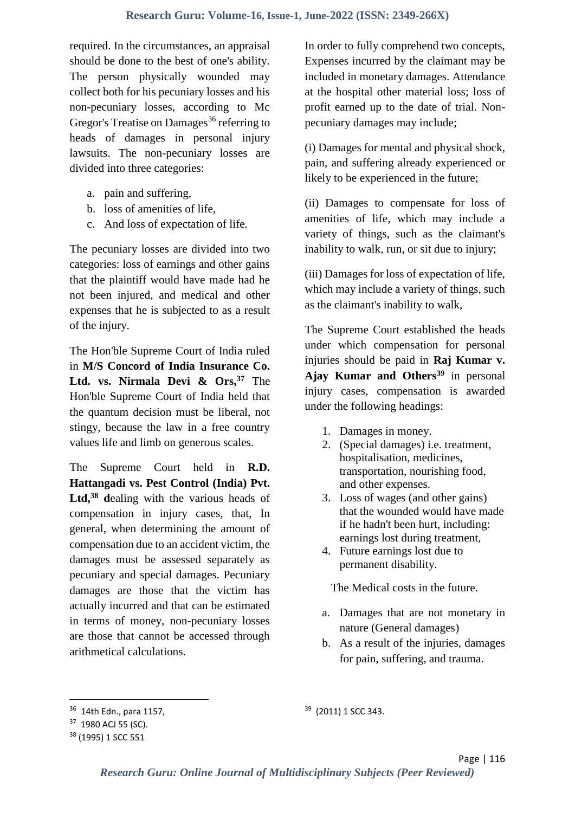required. In the circumstances, an appraisal should be done to the best of one's ability. The person physically wounded may collect both for his pecuniary losses and his non-pecuniary losses, according to Mc Gregor's Treatise on Damages<sup>36</sup> referring to heads of damages in personal injury lawsuits. The non-pecuniary losses are divided into three categories:

- a. pain and suffering,
- b. loss of amenities of life,
- c. And loss of expectation of life.

The pecuniary losses are divided into two categories: loss of earnings and other gains that the plaintiff would have made had he not been injured, and medical and other expenses that he is subjected to as a result of the injury.

The Hon'ble Supreme Court of India ruled in **M/S Concord of India Insurance Co. Ltd. vs. Nirmala Devi & Ors,<sup>37</sup>** The Hon'ble Supreme Court of India held that the quantum decision must be liberal, not stingy, because the law in a free country values life and limb on generous scales.

The Supreme Court held in **R.D. Hattangadi vs. Pest Control (India) Pvt.**  Ltd,<sup>38</sup> dealing with the various heads of compensation in injury cases, that, In general, when determining the amount of compensation due to an accident victim, the damages must be assessed separately as pecuniary and special damages. Pecuniary damages are those that the victim has actually incurred and that can be estimated in terms of money, non-pecuniary losses are those that cannot be accessed through arithmetical calculations.

In order to fully comprehend two concepts, Expenses incurred by the claimant may be included in monetary damages. Attendance at the hospital other material loss; loss of profit earned up to the date of trial. Nonpecuniary damages may include;

(i) Damages for mental and physical shock, pain, and suffering already experienced or likely to be experienced in the future;

(ii) Damages to compensate for loss of amenities of life, which may include a variety of things, such as the claimant's inability to walk, run, or sit due to injury;

(iii) Damages for loss of expectation of life, which may include a variety of things, such as the claimant's inability to walk,

The Supreme Court established the heads under which compensation for personal injuries should be paid in **Raj Kumar v. Ajay Kumar and Others<sup>39</sup>** in personal injury cases, compensation is awarded under the following headings:

- 1. Damages in money.
- 2. (Special damages) i.e. treatment, hospitalisation, medicines, transportation, nourishing food, and other expenses.
- 3. Loss of wages (and other gains) that the wounded would have made if he hadn't been hurt, including: earnings lost during treatment,
- 4. Future earnings lost due to permanent disability.

The Medical costs in the future.

- a. Damages that are not monetary in nature (General damages)
- b. As a result of the injuries, damages for pain, suffering, and trauma.

**.** 

<sup>36</sup> 14th Edn., para 1157,

<sup>&</sup>lt;sup>37</sup> 1980 ACJ 55 (SC).

<sup>38</sup> (1995) 1 SCC 551

<sup>&</sup>lt;sup>39</sup> (2011) 1 SCC 343.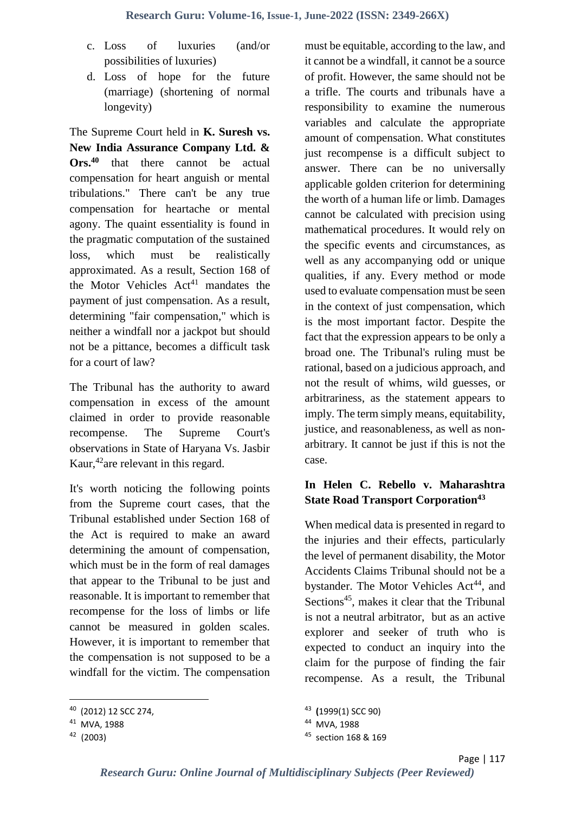- c. Loss of luxuries (and/or possibilities of luxuries)
- d. Loss of hope for the future (marriage) (shortening of normal longevity)

The Supreme Court held in **K. Suresh vs. New India Assurance Company Ltd. & Ors.<sup>40</sup>** that there cannot be actual compensation for heart anguish or mental tribulations." There can't be any true compensation for heartache or mental agony. The quaint essentiality is found in the pragmatic computation of the sustained loss, which must be realistically approximated. As a result, Section 168 of the Motor Vehicles  $Act<sup>41</sup>$  mandates the payment of just compensation. As a result, determining "fair compensation," which is neither a windfall nor a jackpot but should not be a pittance, becomes a difficult task for a court of law?

The Tribunal has the authority to award compensation in excess of the amount claimed in order to provide reasonable recompense. The Supreme Court's observations in State of Haryana Vs. Jasbir Kaur, <sup>42</sup> are relevant in this regard.

It's worth noticing the following points from the Supreme court cases, that the Tribunal established under Section 168 of the Act is required to make an award determining the amount of compensation, which must be in the form of real damages that appear to the Tribunal to be just and reasonable. It is important to remember that recompense for the loss of limbs or life cannot be measured in golden scales. However, it is important to remember that the compensation is not supposed to be a windfall for the victim. The compensation

**.** 

must be equitable, according to the law, and it cannot be a windfall, it cannot be a source of profit. However, the same should not be a trifle. The courts and tribunals have a responsibility to examine the numerous variables and calculate the appropriate amount of compensation. What constitutes just recompense is a difficult subject to answer. There can be no universally applicable golden criterion for determining the worth of a human life or limb. Damages cannot be calculated with precision using mathematical procedures. It would rely on the specific events and circumstances, as well as any accompanying odd or unique qualities, if any. Every method or mode used to evaluate compensation must be seen in the context of just compensation, which is the most important factor. Despite the fact that the expression appears to be only a broad one. The Tribunal's ruling must be rational, based on a judicious approach, and not the result of whims, wild guesses, or arbitrariness, as the statement appears to imply. The term simply means, equitability, justice, and reasonableness, as well as nonarbitrary. It cannot be just if this is not the case.

### **In Helen C. Rebello v. Maharashtra State Road Transport Corporation<sup>43</sup>**

When medical data is presented in regard to the injuries and their effects, particularly the level of permanent disability, the Motor Accidents Claims Tribunal should not be a bystander. The Motor Vehicles Act<sup>44</sup>, and Sections<sup>45</sup>, makes it clear that the Tribunal is not a neutral arbitrator, but as an active explorer and seeker of truth who is expected to conduct an inquiry into the claim for the purpose of finding the fair recompense. As a result, the Tribunal

<sup>40</sup> (2012) 12 SCC 274,

<sup>41</sup> MVA, 1988

<sup>42</sup> (2003)

<sup>43</sup> **(**1999(1) SCC 90)

<sup>44</sup> MVA, 1988

<sup>&</sup>lt;sup>45</sup> section 168 & 169